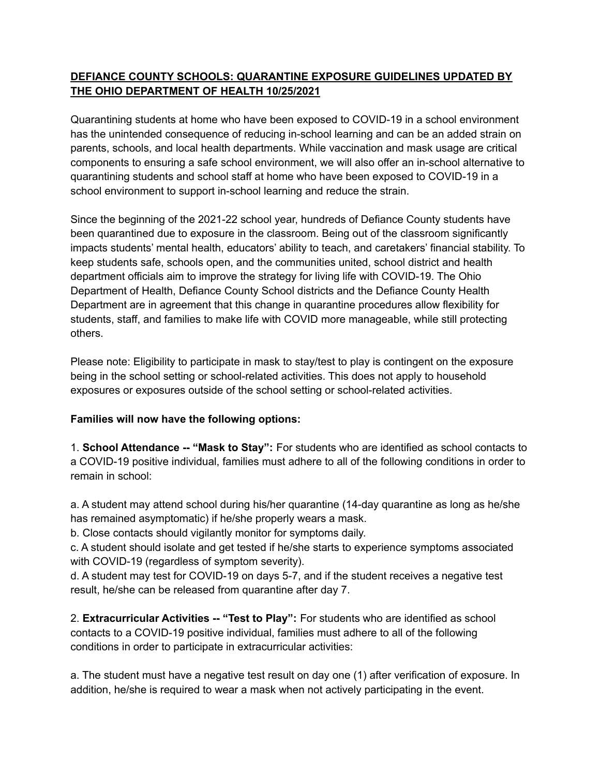## **DEFIANCE COUNTY SCHOOLS: QUARANTINE EXPOSURE GUIDELINES UPDATED BY THE OHIO DEPARTMENT OF HEALTH 10/25/2021**

Quarantining students at home who have been exposed to COVID-19 in a school environment has the unintended consequence of reducing in-school learning and can be an added strain on parents, schools, and local health departments. While vaccination and mask usage are critical components to ensuring a safe school environment, we will also offer an in-school alternative to quarantining students and school staff at home who have been exposed to COVID-19 in a school environment to support in-school learning and reduce the strain.

Since the beginning of the 2021-22 school year, hundreds of Defiance County students have been quarantined due to exposure in the classroom. Being out of the classroom significantly impacts students' mental health, educators' ability to teach, and caretakers' financial stability. To keep students safe, schools open, and the communities united, school district and health department officials aim to improve the strategy for living life with COVID-19. The Ohio Department of Health, Defiance County School districts and the Defiance County Health Department are in agreement that this change in quarantine procedures allow flexibility for students, staff, and families to make life with COVID more manageable, while still protecting others.

Please note: Eligibility to participate in mask to stay/test to play is contingent on the exposure being in the school setting or school-related activities. This does not apply to household exposures or exposures outside of the school setting or school-related activities.

## **Families will now have the following options:**

1. **School Attendance -- "Mask to Stay":** For students who are identified as school contacts to a COVID-19 positive individual, families must adhere to all of the following conditions in order to remain in school:

a. A student may attend school during his/her quarantine (14-day quarantine as long as he/she has remained asymptomatic) if he/she properly wears a mask.

b. Close contacts should vigilantly monitor for symptoms daily.

c. A student should isolate and get tested if he/she starts to experience symptoms associated with COVID-19 (regardless of symptom severity).

d. A student may test for COVID-19 on days 5-7, and if the student receives a negative test result, he/she can be released from quarantine after day 7.

2. **Extracurricular Activities -- "Test to Play":** For students who are identified as school contacts to a COVID-19 positive individual, families must adhere to all of the following conditions in order to participate in extracurricular activities:

a. The student must have a negative test result on day one (1) after verification of exposure. In addition, he/she is required to wear a mask when not actively participating in the event.